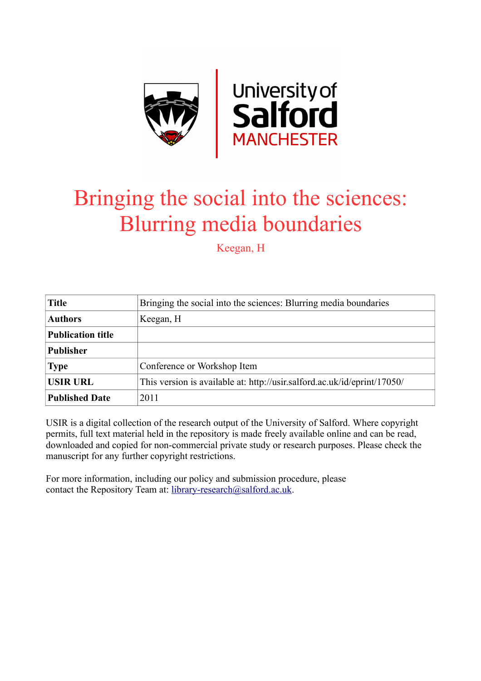

## Bringing the social into the sciences: Blurring media boundaries

Keegan, H

| <b>Title</b>             | Bringing the social into the sciences: Blurring media boundaries         |
|--------------------------|--------------------------------------------------------------------------|
| <b>Authors</b>           | Keegan, H                                                                |
| <b>Publication title</b> |                                                                          |
| <b>Publisher</b>         |                                                                          |
| <b>Type</b>              | Conference or Workshop Item                                              |
| <b>USIR URL</b>          | This version is available at: http://usir.salford.ac.uk/id/eprint/17050/ |
| <b>Published Date</b>    | 2011                                                                     |

USIR is a digital collection of the research output of the University of Salford. Where copyright permits, full text material held in the repository is made freely available online and can be read, downloaded and copied for non-commercial private study or research purposes. Please check the manuscript for any further copyright restrictions.

For more information, including our policy and submission procedure, please contact the Repository Team at: [library-research@salford.ac.uk.](mailto:library-research@salford.ac.uk)